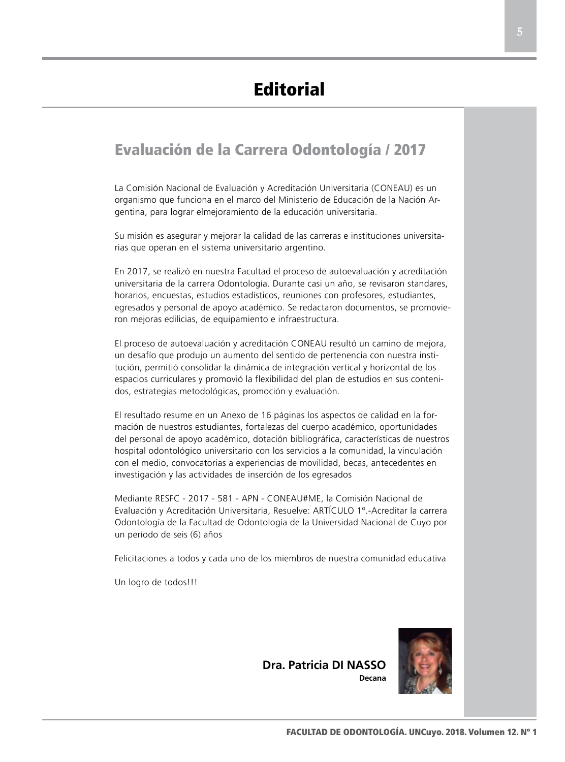## Evaluación de la Carrera Odontología / 2017

La Comisión Nacional de Evaluación y Acreditación Universitaria (CONEAU) es un organismo que funciona en el marco del Ministerio de Educación de la Nación Argentina, para lograr elmejoramiento de la educación universitaria.

Su misión es asegurar y mejorar la calidad de las carreras e instituciones universitarias que operan en el sistema universitario argentino.

En 2017, se realizó en nuestra Facultad el proceso de autoevaluación y acreditación universitaria de la carrera Odontología. Durante casi un año, se revisaron standares, horarios, encuestas, estudios estadísticos, reuniones con profesores, estudiantes, egresados y personal de apoyo académico. Se redactaron documentos, se promovieron mejoras edilicias, de equipamiento e infraestructura.

El proceso de autoevaluación y acreditación CONEAU resultó un camino de mejora, un desafío que produjo un aumento del sentido de pertenencia con nuestra institución, permitió consolidar la dinámica de integración vertical y horizontal de los espacios curriculares y promovió la flexibilidad del plan de estudios en sus contenidos, estrategias metodológicas, promoción y evaluación.

El resultado resume en un Anexo de 16 páginas los aspectos de calidad en la formación de nuestros estudiantes, fortalezas del cuerpo académico, oportunidades del personal de apoyo académico, dotación bibliográfica, características de nuestros hospital odontológico universitario con los servicios a la comunidad, la vinculación con el medio, convocatorias a experiencias de movilidad, becas, antecedentes en investigación y las actividades de inserción de los egresados

Mediante RESFC - 2017 - 581 - APN - CONEAU#ME, la Comisión Nacional de Evaluación y Acreditación Universitaria, Resuelve: ARTÍCULO 1º.-Acreditar la carrera Odontología de la Facultad de Odontología de la Universidad Nacional de Cuyo por un período de seis (6) años

Felicitaciones a todos y cada uno de los miembros de nuestra comunidad educativa

Un logro de todos!!!

**Dra. Patricia DI NASSO Decana**